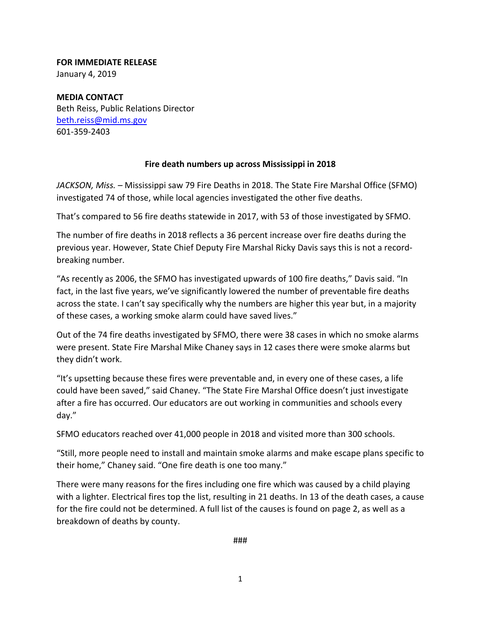## **FOR IMMEDIATE RELEASE**

January 4, 2019

**MEDIA CONTACT** Beth Reiss, Public Relations Director beth.reiss@mid.ms.gov 601‐359‐2403

## **Fire death numbers up across Mississippi in 2018**

*JACKSON, Miss. –* Mississippi saw 79 Fire Deaths in 2018. The State Fire Marshal Office (SFMO) investigated 74 of those, while local agencies investigated the other five deaths.

That's compared to 56 fire deaths statewide in 2017, with 53 of those investigated by SFMO.

The number of fire deaths in 2018 reflects a 36 percent increase over fire deaths during the previous year. However, State Chief Deputy Fire Marshal Ricky Davis says this is not a record‐ breaking number.

"As recently as 2006, the SFMO has investigated upwards of 100 fire deaths," Davis said. "In fact, in the last five years, we've significantly lowered the number of preventable fire deaths across the state. I can't say specifically why the numbers are higher this year but, in a majority of these cases, a working smoke alarm could have saved lives."

Out of the 74 fire deaths investigated by SFMO, there were 38 cases in which no smoke alarms were present. State Fire Marshal Mike Chaney says in 12 cases there were smoke alarms but they didn't work.

"It's upsetting because these fires were preventable and, in every one of these cases, a life could have been saved," said Chaney. "The State Fire Marshal Office doesn't just investigate after a fire has occurred. Our educators are out working in communities and schools every day."

SFMO educators reached over 41,000 people in 2018 and visited more than 300 schools.

"Still, more people need to install and maintain smoke alarms and make escape plans specific to their home," Chaney said. "One fire death is one too many."

There were many reasons for the fires including one fire which was caused by a child playing with a lighter. Electrical fires top the list, resulting in 21 deaths. In 13 of the death cases, a cause for the fire could not be determined. A full list of the causes is found on page 2, as well as a breakdown of deaths by county.

###